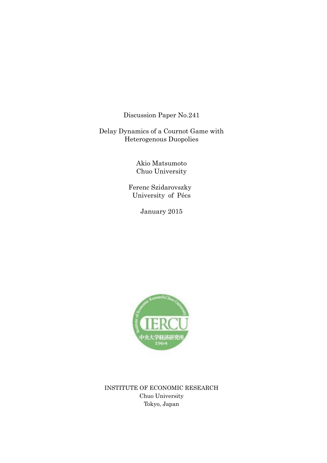Discussion Paper No.241

Delay Dynamics of a Cournot Game with Heterogenous Duopolies

> Akio Matsumoto Chuo University

 Ferenc Szidarovszky University of Pécs

January 2015



INSTITUTE OF ECONOMIC RESEARCH Chuo University Tokyo, Japan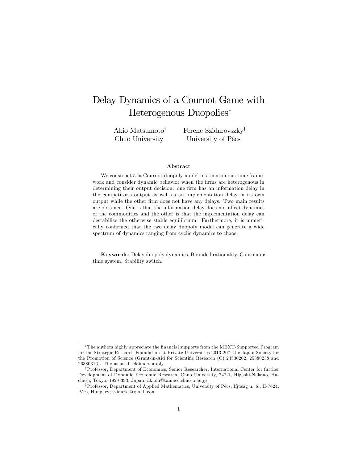# Delay Dynamics of a Cournot Game with Heterogenous Duopolies

Akio Matsumoto<sup>†</sup> Chuo University

Ferenc Szidarovszky<sup>‡</sup> University of Pécs

#### Abstract

We construct à la Cournot duopoly model in a continuous-time framework and consider dynamic behavior when the firms are heterogenous in determining their output decision: one firm has an information delay in the competitor's output as well as an implementation delay in its own output while the other firm does not have any delays. Two main results are obtained. One is that the information delay does not affect dynamics of the commodities and the other is that the implementation delay can destabilize the otherwise stable equilibrium. Furthermore, it is numerically confirmed that the two delay duopoly model can generate a wide spectrum of dynamics ranging from cyclic dynamics to chaos.

Keywords: Delay duopoly dynamics, Bounded rationality, Continuoustime system, Stability switch.

The authors highly appreciate the Önancial supports from the MEXT-Supported Program for the Strategic Research Foundation at Private Universities 2013-207, the Japan Society for the Promotion of Science (Grant-in-Aid for Scientific Research (C) 24530202, 25380238 and 26380316). The usual disclaimers apply.

yProfessor, Department of Economics, Senior Researcher, International Center for further Development of Dynamic Economic Research, Chuo University, 742-1, Higashi-Nakano, Hachio ji, Tokyo, 192-0393, Japan; akiom@tamacc.chuo-u.ac.jp

<sup>&</sup>lt;sup>‡</sup>Professor, Department of Applied Mathematics, University of Pécs, Ifjúság u. 6., H-7624, PÈcs, Hungary; szidarka@gmail.com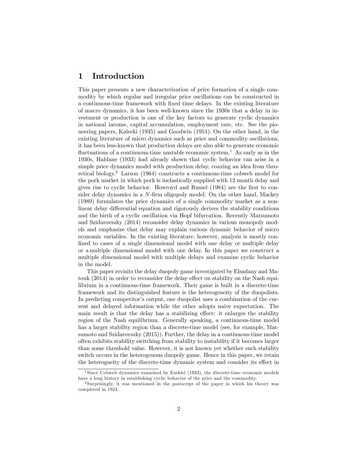## 1 Introduction

This paper presents a new characterization of price formation of a single commodity by which regular and irregular price oscillations can be constructed in a continuous-time framework with Öxed time delays. In the existing literature of macro dynamics, it has been well-known since the 1930s that a delay in investment or production is one of the key factors to generate cyclic dynamics in national income, capital accumulation, employment rate, etc. See the pioneering papers, Kalecki (1935) and Goodwin (1951). On the other hand, in the existing literature of micro dynamics such as price and commodity oscillations, it has been less-known that production delays are also able to generate economic fluctuations of a continuous-time unstable economic system.<sup>1</sup> As early as in the 1930s, Haldane (1933) had already shown that cyclic behavior can arise in a simple price dynamics model with production delay, coaxing an idea from theoretical biology.<sup>2</sup> Larson (1964) constructs a continuous-time cobweb model for the pork market in which pork is inelastically supplied with 12 month delay and gives rise to cyclic behavior. Howroyd and Russel (1984) are the first to consider delay dynamics in a  $N$ -firm oligopoly model. On the other hand, Mackey (1989) formulates the price dynamics of a single commodity market as a nonlinear delay differential equation and rigorously derives the stability conditions and the birth of a cyclic oscillation via Hopf bifurcation. Recently Matsumoto and Szidarovszky (2014) reconsider delay dynamics in various monopoly models and emphasize that delay may explain various dynamic behavior of micro economic variables. In the existing literature, however, analysis is mostly confined to cases of a single dimensional model with one delay or multiple delay or a multiple dimensional model with one delay. In this paper we construct a multiple dimensional model with multiple delays and examine cyclic behavior in the model.

This paper revisits the delay duopoly game investigated by Elsadany and Matouk  $(2014)$  in order to reconsider the delay effect on stability on the Nash equilibrium in a continuous-time framework. Their game is built in a discrete-time framework and its distinguished feature is the heterogeneity of the duopolists. In predicting competitor's output, one duopolist uses a combination of the current and delayed information while the other adopts naive expectation. The main result is that the delay has a stabilizing effect: it enlarges the stability region of the Nash equilibrium. Generally speaking, a continuous-time model has a larger stability region than a discrete-time model (see, for example, Matsumoto and Szidarovszky (2015)). Further, the delay in a continuous-time model often exhibits stability switching from stability to instability if it becomes larger than some threshold value. However, it is not known yet whether such stability switch occurs in the heterogenous duopoly game. Hence in this paper, we retain the heterogneity of the discrete-time dynamic system and consider its effect in

<sup>&</sup>lt;sup>1</sup>Since Cobweb dynamics examined by Ezekiel (1933), the discrete-time economic models have a long history in establishing cyclic behavior of the price and the commodity.

<sup>2</sup> Surprisingly, it was mentioned in the postscript of the paper in which his theory was completed in 1924.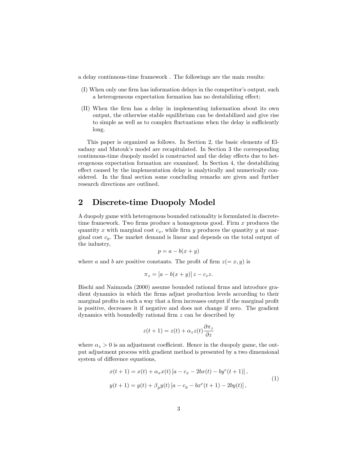a delay continuous-time framework . The followings are the main results:

- (I) When only one firm has information delays in the competitor's output, such a heterogeneous expectation formation has no destabilizing effect;
- (II) When the Örm has a delay in implementing information about its own output, the otherwise stable equilibrium can be destabilized and give rise to simple as well as to complex fluctuations when the delay is sufficiently long.

This paper is organized as follows. In Section 2, the basic elements of Elsadany and Matouk's model are recapitulated. In Section 3 the corresponding continuous-time duopoly model is constructed and the delay effects due to heterogenous expectation formation are examined. In Section 4, the destabilizing effect caused by the implementation delay is analytically and numerically considered. In the final section some concluding remarks are given and further research directions are outlined.

# 2 Discrete-time Duopoly Model

A duopoly game with heterogenous bounded rationality is formulated in discretetime framework. Two firms produce a homogenous good. Firm  $x$  produces the quantity x with marginal cost  $c_x$ , while firm y produces the quantity y at marginal cost  $c_y$ . The market demand is linear and depends on the total output of the industry,

$$
p = a - b(x + y)
$$

where a and b are positive constants. The profit of firm  $z(= x, y)$  is

$$
\pi_z = [a - b(x + y)]z - c_z z.
$$

Bischi and Naimzada (2000) assume bounded rational firms and introduce gradient dynamics in which the firms adjust production levels according to their marginal profits in such a way that a firm increases output if the marginal profit is positive, decreases it if negative and does not change if zero. The gradient dynamics with boundedly rational firm  $z$  can be described by

$$
z(t+1) = z(t) + \alpha_z z(t) \frac{\partial \pi_z}{\partial z}
$$

where  $\alpha_z > 0$  is an adjustment coefficient. Hence in the duopoly game, the output adjustment process with gradient method is presented by a two dimensional system of difference equations.

$$
x(t+1) = x(t) + \alpha_x x(t) [a - c_x - 2bx(t) - by^e(t+1)],
$$
  
\n
$$
y(t+1) = y(t) + \beta_y y(t) [a - c_y - bx^e(t+1) - 2by(t)],
$$
\n(1)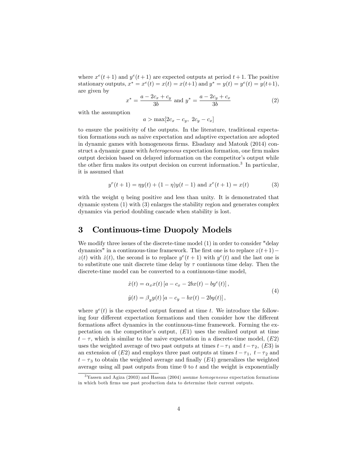where  $x^e(t+1)$  and  $y^e(t+1)$  are expected outputs at period  $t+1$ . The positive stationary outputs,  $x^* = x^e(t) = x(t) = x(t+1)$  and  $y^* = y(t) = y^e(t) = y(t+1)$ , are given by

$$
x^* = \frac{a - 2c_x + c_y}{3b} \text{ and } y^* = \frac{a - 2c_y + c_x}{3b} \tag{2}
$$

with the assumption

 $a > \max[2c_x - c_y, 2c_y - c_x]$ 

to ensure the positivity of the outputs. In the literature, traditional expectation formations such as naive expectation and adaptive expectation are adopted in dynamic games with homogeneous firms. Elsadany and Matouk  $(2014)$  construct a dynamic game with *heterogenous* expectation formation, one firm makes output decision based on delayed information on the competitor's output while the other firm makes its output decision on current information.<sup>3</sup> In particular, it is assumed that

$$
y^{e}(t+1) = \eta y(t) + (1 - \eta)y(t-1) \text{ and } x^{e}(t+1) = x(t)
$$
 (3)

with the weight  $\eta$  being positive and less than unity. It is demonstrated that dynamic system (1) with (3) enlarges the stability region and generates complex dynamics via period doubling cascade when stability is lost.

## 3 Continuous-time Duopoly Models

We modify three issues of the discrete-time model (1) in order to consider "delay dynamics" in a continuous-time framework. The first one is to replace  $z(t+1)$  –  $z(t)$  with  $\dot{z}(t)$ , the second is to replace  $y^e(t + 1)$  with  $y^e(t)$  and the last one is to substitute one unit discrete time delay by  $\tau$  continuous time delay. Then the discrete-time model can be converted to a continuous-time model,

$$
\begin{aligned} \dot{x}(t) &= \alpha_x x(t) \left[ a - c_x - 2bx(t) - by^e(t) \right], \\ \dot{y}(t) &= \beta_y y(t) \left[ a - c_y - bx(t) - 2by(t) \right], \end{aligned} \tag{4}
$$

where  $y^e(t)$  is the expected output formed at time t. We introduce the following four different expectation formations and then consider how the different formations affect dynamics in the continuous-time framework. Forming the expectation on the competitor's output,  $(E1)$  uses the realized output at time  $t - \tau$ , which is similar to the naive expectation in a discrete-time model,  $(E2)$ uses the weighted average of two past outputs at times  $t - \tau_1$  and  $t - \tau_2$ , (E3) is an extension of (E2) and employs three past outputs at times  $t - \tau_1$ ,  $t - \tau_2$  and  $t - \tau_3$  to obtain the weighted average and finally (E4) generalizes the weighted average using all past outputs from time  $0$  to  $t$  and the weight is exponentially

<sup>3</sup>Yassen and Agiza (2003) and Hassan (2004) assume homogeneous expectation formations in which both Örms use past production data to determine their current outputs.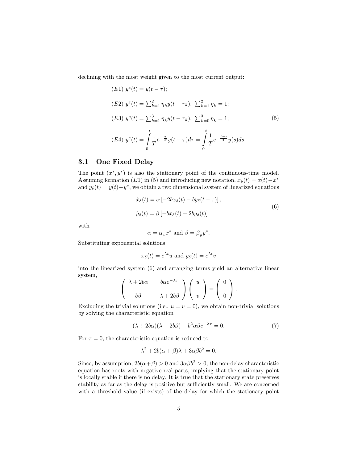declining with the most weight given to the most current output:

(E1) 
$$
y^{e}(t) = y(t - \tau);
$$
  
\n(E2)  $y^{e}(t) = \sum_{k=1}^{2} \eta_{k} y(t - \tau_{k}), \sum_{k=1}^{2} \eta_{k} = 1;$   
\n(E3)  $y^{e}(t) = \sum_{k=1}^{3} \eta_{k} y(t - \tau_{k}), \sum_{k=0}^{3} \eta_{k} = 1;$   
\n(E4)  $y^{e}(t) = \int_{0}^{t} \frac{1}{T} e^{-\frac{\tau}{T}} y(t - \tau) d\tau = \int_{0}^{t} \frac{1}{T} e^{-\frac{t - s}{T}} y(s) ds.$  (5)

#### 3.1 One Fixed Delay

The point  $(x^*, y^*)$  is also the stationary point of the continuous-time model. Assuming formation (E1) in (5) and introducing new notation,  $x_{\delta}(t) = x(t) - x^*$ and  $y_\delta(t) = y(t) - y^*$ , we obtain a two dimensional system of linearized equations

$$
\dot{x}_{\delta}(t) = \alpha \left[ -2bx_{\delta}(t) - by_{\delta}(t-\tau) \right],
$$
  
\n
$$
\dot{y}_{\delta}(t) = \beta \left[ -bx_{\delta}(t) - 2by_{\delta}(t) \right]
$$
\n(6)

with

$$
\alpha = \alpha_x x^*
$$
 and  $\beta = \beta_y y^*$ .

Substituting exponential solutions

$$
x_{\delta}(t) = e^{\lambda t}u
$$
 and  $y_{\delta}(t) = e^{\lambda t}v$ 

into the linearized system (6) and arranging terms yield an alternative linear system,

$$
\begin{pmatrix} \lambda + 2b\alpha & b\alpha e^{-\lambda \tau} \\ b\beta & \lambda + 2b\beta \end{pmatrix} \begin{pmatrix} u \\ v \end{pmatrix} = \begin{pmatrix} 0 \\ 0 \end{pmatrix}.
$$

Excluding the trivial solutions (i.e.,  $u = v = 0$ ), we obtain non-trivial solutions by solving the characteristic equation

$$
(\lambda + 2b\alpha)(\lambda + 2b\beta) - b^2\alpha\beta e^{-\lambda\tau} = 0.
$$
 (7)

For  $\tau = 0$ , the characteristic equation is reduced to

$$
\lambda^2 + 2b(\alpha + \beta)\lambda + 3\alpha\beta b^2 = 0.
$$

Since, by assumption,  $2b(\alpha + \beta) > 0$  and  $3\alpha\beta b^2 > 0$ , the non-delay characteristic equation has roots with negative real parts, implying that the stationary point is locally stable if there is no delay. It is true that the stationary state preserves stability as far as the delay is positive but sufficiently small. We are concerned with a threshold value (if exists) of the delay for which the stationary point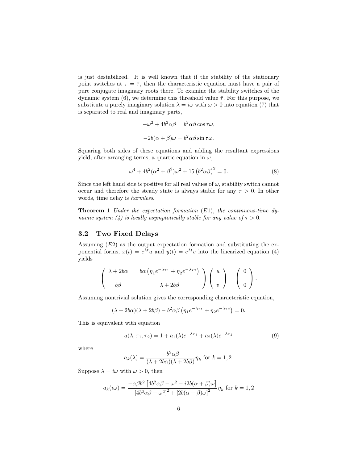is just destabilized. It is well known that if the stability of the stationary point switches at  $\tau = \overline{\tau}$ , then the characteristic equation must have a pair of pure conjugate imaginary roots there. To examine the stability switches of the dynamic system (6), we determine this threshold value  $\bar{\tau}$ . For this purpose, we substitute a purely imaginary solution  $\lambda = i\omega$  with  $\omega > 0$  into equation (7) that is separated to real and imaginary parts,

$$
-\omega^2 + 4b^2\alpha\beta = b^2\alpha\beta\cos\tau\omega,
$$
  

$$
-2b(\alpha + \beta)\omega = b^2\alpha\beta\sin\tau\omega.
$$

Squaring both sides of these equations and adding the resultant expressions yield, after arranging terms, a quartic equation in  $\omega$ ,

$$
\omega^4 + 4b^2(\alpha^2 + \beta^2)\omega^2 + 15(b^2\alpha\beta)^2 = 0.
$$
 (8)

Since the left hand side is positive for all real values of  $\omega$ , stability switch cannot occur and therefore the steady state is always stable for any  $\tau > 0$ . In other words, time delay is harmless.

**Theorem 1** Under the expectation formation  $(E1)$ , the continuous-time dynamic system (4) is locally asymptotically stable for any value of  $\tau > 0$ .

#### 3.2 Two Fixed Delays

Assuming  $(E2)$  as the output expectation formation and substituting the exponential forms,  $x(t) = e^{\lambda t}u$  and  $y(t) = e^{\lambda t}v$  into the linearized equation (4) yields

$$
\begin{pmatrix}\n\lambda + 2b\alpha & b\alpha \left( \eta_1 e^{-\lambda \tau_1} + \eta_2 e^{-\lambda \tau_2} \right) \\
b\beta & \lambda + 2b\beta\n\end{pmatrix}\n\begin{pmatrix}\nu \\ v \end{pmatrix} = \begin{pmatrix} 0 \\ 0 \end{pmatrix}.
$$

Assuming nontrivial solution gives the corresponding characteristic equation,

$$
(\lambda + 2b\alpha)(\lambda + 2b\beta) - b^2\alpha\beta \left(\eta_1 e^{-\lambda \tau_1} + \eta_2 e^{-\lambda \tau_2}\right) = 0.
$$

This is equivalent with equation

$$
a(\lambda, \tau_1, \tau_2) = 1 + a_1(\lambda)e^{-\lambda \tau_1} + a_2(\lambda)e^{-\lambda \tau_2}
$$
\n<sup>(9)</sup>

where

$$
a_k(\lambda) = \frac{-b^2 \alpha \beta}{(\lambda + 2b\alpha)(\lambda + 2b\beta)} \eta_k \text{ for } k = 1, 2.
$$

Suppose  $\lambda = i\omega$  with  $\omega > 0$ , then

$$
a_k(i\omega) = \frac{-\alpha\beta b^2 \left[4b^2\alpha\beta - \omega^2 - i2b(\alpha + \beta)\omega\right]}{\left[4b^2\alpha\beta - \omega^2\right]^2 + \left[2b(\alpha + \beta)\omega\right]^2} \eta_k
$$
 for  $k = 1, 2$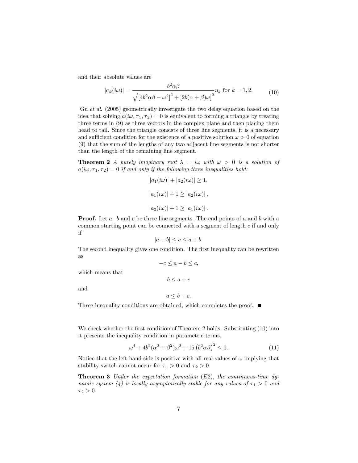and their absolute values are

$$
|a_k(i\omega)| = \frac{b^2 \alpha \beta}{\sqrt{\left[4b^2 \alpha \beta - \omega^2\right]^2 + \left[2b(\alpha + \beta)\omega\right]^2}} \eta_k \text{ for } k = 1, 2. \tag{10}
$$

Gu et al. (2005) geometrically investigate the two delay equation based on the idea that solving  $a(i\omega, \tau_1, \tau_2) = 0$  is equivalent to forming a triangle by treating three terms in (9) as three vectors in the complex plane and then placing them head to tail. Since the triangle consists of three line segments, it is a necessary and sufficient condition for the existence of a positive solution  $\omega > 0$  of equation (9) that the sum of the lengths of any two adjacent line segments is not shorter than the length of the remaining line segment.

**Theorem 2** A purely imaginary root  $\lambda = i\omega$  with  $\omega > 0$  is a solution of  $a(i\omega, \tau_1, \tau_2) = 0$  if and only if the following three inequalities hold:

$$
|a_1(i\omega)| + |a_2(i\omega)| \ge 1,
$$
  

$$
|a_1(i\omega)| + 1 \ge |a_2(i\omega)|,
$$
  

$$
|a_2(i\omega)| + 1 \ge |a_1(i\omega)|.
$$

**Proof.** Let  $a$ ,  $b$  and  $c$  be three line segments. The end points of  $a$  and  $b$  with a common starting point can be connected with a segment of length c if and only if

$$
|a - b| \le c \le a + b.
$$

The second inequality gives one condition. The first inequality can be rewritten as

> $-c \le a - b \le c$ ,  $b \leq a + c$

and

which means that

 $a \leq b + c.$ 

Three inequality conditions are obtained, which completes the proof.  $\blacksquare$ 

We check whether the first condition of Theorem 2 holds. Substituting (10) into it presents the inequality condition in parametric terms,

$$
\omega^4 + 4b^2(\alpha^2 + \beta^2)\omega^2 + 15\left(b^2\alpha\beta\right)^2 \le 0.
$$
 (11)

Notice that the left hand side is positive with all real values of  $\omega$  implying that stability switch cannot occur for  $\tau_1 > 0$  and  $\tau_2 > 0$ .

**Theorem 3** Under the expectation formation  $(E2)$ , the continuous-time dynamic system (4) is locally asymptotically stable for any values of  $\tau_1 > 0$  and  $\tau_2 > 0.$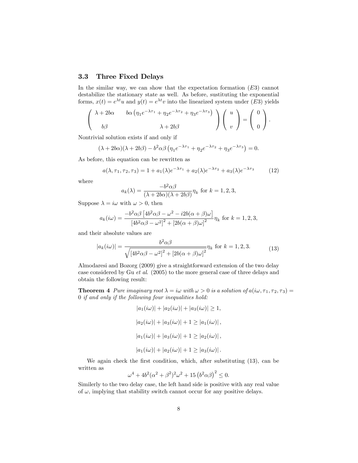### 3.3 Three Fixed Delays

In the similar way, we can show that the expectation formation  $(E3)$  cannot destabilize the stationary state as well. As before, sustituting the exponential forms,  $x(t) = e^{\lambda t}u$  and  $y(t) = e^{\lambda t}v$  into the linearized system under (E3) yields

$$
\begin{pmatrix}\n\lambda + 2b\alpha & b\alpha \left(\eta_1 e^{-\lambda \tau_1} + \eta_2 e^{-\lambda \tau_2} + \eta_3 e^{-\lambda \tau_3}\right) \\
b\beta & \lambda + 2b\beta\n\end{pmatrix}\begin{pmatrix} u \\ v \end{pmatrix} = \begin{pmatrix} 0 \\ 0 \end{pmatrix}.
$$

Nontrivial solution exists if and only if

$$
(\lambda + 2b\alpha)(\lambda + 2b\beta) - b^2\alpha\beta \left(\eta_1 e^{-\lambda \tau_1} + \eta_2 e^{-\lambda \tau_2} + \eta_3 e^{-\lambda \tau_3}\right) = 0.
$$

As before, this equation can be rewritten as

$$
a(\lambda, \tau_1, \tau_2, \tau_3) = 1 + a_1(\lambda)e^{-\lambda \tau_1} + a_2(\lambda)e^{-\lambda \tau_2} + a_3(\lambda)e^{-\lambda \tau_3}
$$
 (12)

where

$$
a_k(\lambda) = \frac{-b^2 \alpha \beta}{(\lambda + 2b\alpha)(\lambda + 2b\beta)} \eta_k \text{ for } k = 1, 2, 3,
$$

Suppose  $\lambda = i\omega$  with  $\omega > 0$ , then

$$
a_k(i\omega) = \frac{-b^2 \alpha \beta \left[4b^2 \alpha \beta - \omega^2 - i2b(\alpha + \beta)\omega\right]}{\left[4b^2 \alpha \beta - \omega^2\right]^2 + \left[2b(\alpha + \beta)\omega\right]^2} \eta_k
$$
 for  $k = 1, 2, 3$ ,

and their absolute values are

$$
|a_k(i\omega)| = \frac{b^2 \alpha \beta}{\sqrt{\left[4b^2 \alpha \beta - \omega^2\right]^2 + \left[2b(\alpha + \beta)\omega\right]^2}} \eta_k \text{ for } k = 1, 2, 3. \tag{13}
$$

Almodaresi and Bozorg (2009) give a straightforward extension of the two delay case considered by Gu et al. (2005) to the more general case of three delays and obtain the following result:

**Theorem 4** Pure imaginary root  $\lambda = i\omega$  with  $\omega > 0$  is a solution of  $a(i\omega, \tau_1, \tau_2, \tau_3)$ 0 if and only if the following four inequalities hold:

> $|a_1(i\omega)| + |a_2(i\omega)| + |a_3(i\omega)| \ge 1,$  $|a_2(i\omega)| + |a_3(i\omega)| + 1 \geq |a_1(i\omega)|$ ,  $|a_1(i\omega)| + |a_3(i\omega)| + 1 \geq |a_2(i\omega)|$ ,  $|a_1(i\omega)| + |a_2(i\omega)| + 1 \geq |a_3(i\omega)|$ .

We again check the first condition, which, after substituting (13), can be written as

$$
\omega^4 + 4b^2(\alpha^2 + \beta^2)^2 \omega^2 + 15(b^2 \alpha \beta)^2 \le 0.
$$

Similerly to the two delay case, the left hand side is positive with any real value of  $\omega$ , implying that stability switch cannot occur for any positive delays.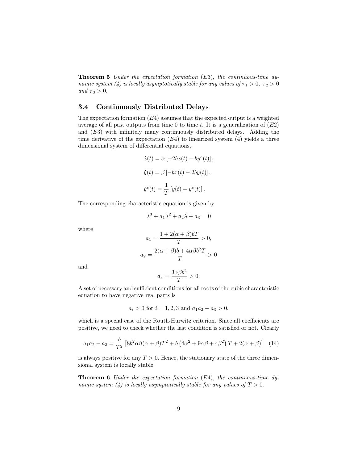**Theorem 5** Under the expectation formation  $(E3)$ , the continuous-time dynamic system (4) is locally asymptotically stable for any values of  $\tau_1 > 0$ ,  $\tau_2 > 0$ and  $\tau_3 > 0$ .

## 3.4 Continuously Distributed Delays

The expectation formation  $(E4)$  assumes that the expected output is a weighted average of all past outputs from time 0 to time t. It is a generalization of  $(E2)$ and  $(E3)$  with infinitely many continuously distributed delays. Adding the time derivative of the expectation  $(E4)$  to linearized system  $(4)$  yields a three dimensional system of differential equations,

$$
\dot{x}(t) = \alpha \left[ -2bx(t) - by^{e}(t) \right],
$$
  

$$
\dot{y}(t) = \beta \left[ -bx(t) - 2by(t) \right],
$$
  

$$
\dot{y}^{e}(t) = \frac{1}{T} \left[ y(t) - y^{e}(t) \right].
$$

The corresponding characteristic equation is given by

$$
\lambda^3 + a_1 \lambda^2 + a_2 \lambda + a_3 = 0
$$

where

$$
a_1 = \frac{1 + 2(\alpha + \beta)bT}{T} > 0,
$$
  

$$
a_2 = \frac{2(\alpha + \beta)b + 4\alpha\beta b^2 T}{T} > 0
$$

and

$$
a_3 = \frac{3\alpha\beta b^2}{T} > 0.
$$

A set of necessary and sufficient conditions for all roots of the cubic characteristic equation to have negative real parts is

$$
a_i > 0
$$
 for  $i = 1, 2, 3$  and  $a_1 a_2 - a_3 > 0$ ,

which is a special case of the Routh-Hurwitz criterion. Since all coefficients are positive, we need to check whether the last condition is satisfied or not. Clearly

$$
a_1 a_2 - a_3 = \frac{b}{T^2} \left[ 8b^2 \alpha \beta (\alpha + \beta) T^2 + b \left( 4\alpha^2 + 9\alpha \beta + 4\beta^2 \right) T + 2(\alpha + \beta) \right] \tag{14}
$$

is always positive for any  $T > 0$ . Hence, the stationary state of the three dimensional system is locally stable.

**Theorem 6** Under the expectation formation  $(E4)$ , the continuous-time dynamic system (4) is locally asymptotically stable for any values of  $T > 0$ .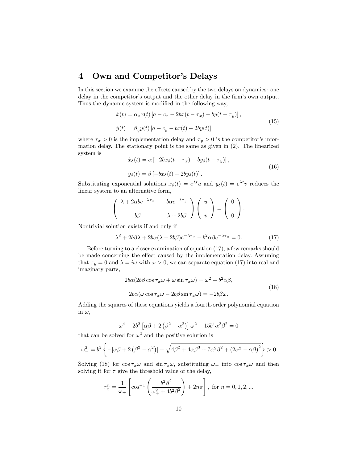# 4 Own and Competitor's Delays

In this section we examine the effects caused by the two delays on dynamics: one delay in the competitor's output and the other delay in the firm's own output. Thus the dynamic system is modified in the following way,

$$
\begin{aligned} \dot{x}(t) &= \alpha_x x(t) \left[ a - c_x - 2bx(t - \tau_x) - by(t - \tau_y) \right], \\ \dot{y}(t) &= \beta_y y(t) \left[ a - c_y - bx(t) - 2by(t) \right] \end{aligned} \tag{15}
$$

where  $\tau_x > 0$  is the implementation delay and  $\tau_y > 0$  is the competitor's information delay. The stationary point is the same as given in (2). The linearized system is

$$
\begin{aligned} \dot{x}_{\delta}(t) &= \alpha \left[ -2bx_{\delta}(t - \tau_x) - by_{\delta}(t - \tau_y) \right], \\ \dot{y}_{\delta}(t) &= \beta \left[ -bx_{\delta}(t) - 2by_{\delta}(t) \right]. \end{aligned} \tag{16}
$$

Substituting exponential solutions  $x_{\delta}(t) = e^{\lambda t}u$  and  $y_{\delta}(t) = e^{\lambda t}v$  reduces the linear system to an alternative form,

$$
\begin{pmatrix} \lambda + 2\alpha b e^{-\lambda \tau_x} & b \alpha e^{-\lambda \tau_y} \\ b \beta & \lambda + 2b \beta \end{pmatrix} \begin{pmatrix} u \\ v \end{pmatrix} = \begin{pmatrix} 0 \\ 0 \end{pmatrix}.
$$

Nontrivial solution exists if and only if

$$
\lambda^2 + 2b\beta\lambda + 2b\alpha(\lambda + 2b\beta)e^{-\lambda\tau_x} - b^2\alpha\beta e^{-\lambda\tau_y} = 0.
$$
 (17)

Before turning to a closer examination of equation (17), a few remarks should be made concerning the effect caused by the implementation delay. Assuming that  $\tau_y = 0$  and  $\lambda = i\omega$  with  $\omega > 0$ , we can separate equation (17) into real and imaginary parts,

$$
2b\alpha(2b\beta\cos\tau_x\omega+\omega\sin\tau_x\omega)=\omega^2+b^2\alpha\beta,
$$
  

$$
2b\alpha(\omega\cos\tau_x\omega-2b\beta\sin\tau_x\omega)=-2b\beta\omega.
$$
 (18)

Adding the squares of these equations yields a fourth-order polynomial equation in  $\omega$ ,

$$
\omega^4 + 2b^2 \left[ \alpha \beta + 2 \left( \beta^2 - \alpha^2 \right) \right] \omega^2 - 15b^4 \alpha^2 \beta^2 = 0
$$

that can be solved for  $\omega^2$  and the positive solution is

$$
\omega_{+}^{2} = b^{2} \left\{ -[\alpha \beta + 2 (\beta^{2} - \alpha^{2})] + \sqrt{4\beta^{2} + 4\alpha \beta^{3} + 7\alpha^{2} \beta^{2} + (2\alpha^{2} - \alpha \beta)^{2}} \right\} > 0
$$

Solving (18) for  $\cos \tau_x \omega$  and  $\sin \tau_x \omega$ , substituting  $\omega_+$  into  $\cos \tau_x \omega$  and then solving it for  $\tau$  give the threshold value of the delay,

$$
\tau_x^n = \frac{1}{\omega_+} \left[ \cos^{-1} \left( \frac{b^2 \beta^2}{\omega_+^2 + 4b^2 \beta^2} \right) + 2n\pi \right], \text{ for } n = 0, 1, 2, ...
$$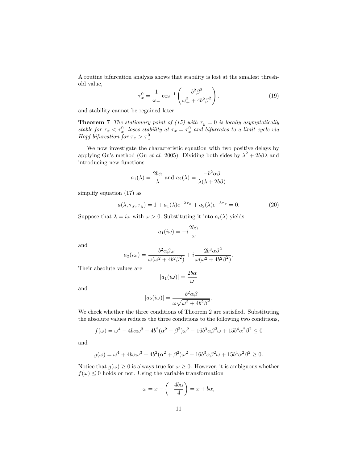A routine bifurcation analysis shows that stability is lost at the smallest threshold value,

$$
\tau_x^0 = \frac{1}{\omega_+} \cos^{-1} \left( \frac{b^2 \beta^2}{\omega_+^2 + 4b^2 \beta^2} \right). \tag{19}
$$

and stability cannot be regained later.

**Theorem 7** The stationary point of (15) with  $\tau_y = 0$  is locally asymptotically stable for  $\tau_x < \tau_x^0$ , loses stability at  $\tau_x = \tau_x^0$  and bifurcates to a limit cycle via Hopf bifurcation for  $\tau_x > \tau_x^0$ .

We now investigate the characteristic equation with two positive delays by applying Gu's method (Gu *et al.* 2005). Dividing both sides by  $\lambda^2 + 2b\beta\lambda$  and introducing new functions

$$
a_1(\lambda) = \frac{2b\alpha}{\lambda}
$$
 and  $a_2(\lambda) = \frac{-b^2\alpha\beta}{\lambda(\lambda + 2b\beta)}$ 

simplify equation (17) as

$$
a(\lambda, \tau_x, \tau_y) = 1 + a_1(\lambda)e^{-\lambda \tau_x} + a_2(\lambda)e^{-\lambda \tau_y} = 0.
$$
 (20)

:

Suppose that  $\lambda = i\omega$  with  $\omega > 0$ . Substituting it into  $a_i(\lambda)$  yields

$$
a_1(i\omega) = -i\frac{2b\alpha}{\omega}
$$

and

$$
a_2(i\omega) = \frac{b^2 \alpha \beta \omega}{\omega(\omega^2 + 4b^2\beta^2)} + i \frac{2b^3 \alpha \beta^2}{\omega(\omega^2 + 4b^2\beta^2)}.
$$

Their absolute values are

$$
|a_1(i\omega)| = \frac{2b\alpha}{\omega}
$$

and

$$
|a_2(i\omega)| = \frac{b^2 \alpha \beta}{\omega \sqrt{\omega^2 + 4b^2 \beta^2}}
$$

We check whether the three conditions of Theorem 2 are satisfied. Substituting the absolute values reduces the three conditions to the following two conditions,

$$
f(\omega) = \omega^4 - 4b\alpha\omega^3 + 4b^2(\alpha^2 + \beta^2)\omega^2 - 16b^3\alpha\beta^2\omega + 15b^4\alpha^2\beta^2 \le 0
$$

and

$$
g(\omega) = \omega^4 + 4b\alpha\omega^3 + 4b^2(\alpha^2 + \beta^2)\omega^2 + 16b^3\alpha\beta^2\omega + 15b^4\alpha^2\beta^2 \ge 0.
$$

Notice that  $g(\omega) \geq 0$  is always true for  $\omega \geq 0$ . However, it is ambiguous whether  $f(\omega) \leq 0$  holds or not. Using the variable transformation

$$
\omega = x - \left(-\frac{4b\alpha}{4}\right) = x + b\alpha,
$$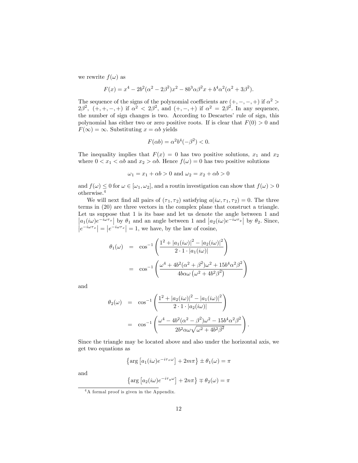we rewrite  $f(\omega)$  as

$$
F(x) = x4 - 2b2(\alpha2 - 2\beta2)x2 - 8b3\alpha\beta2x + b4\alpha2(\alpha2 + 3\beta2).
$$

The sequence of the signs of the polynomial coefficients are  $(+, -, -, +)$  if  $\alpha^2 >$  $2\beta^2$ ,  $(+, +, -, +)$  if  $\alpha^2 < 2\beta^2$ , and  $(+, -, +)$  if  $\alpha^2 = 2\beta^2$ . In any sequence, the number of sign changes is two. According to Descartes' rule of sign, this polynomial has either two or zero positive roots. If is clear that  $F(0) > 0$  and  $F(\infty) = \infty$ . Substituting  $x = \alpha b$  yields

$$
F(\alpha b) = \alpha^2 b^4 (-\beta^2) < 0.
$$

The inequality implies that  $F(x) = 0$  has two positive solutions,  $x_1$  and  $x_2$ where  $0 < x_1 < \alpha b$  and  $x_2 > \alpha b$ . Hence  $f(\omega) = 0$  has two positive solutions

$$
\omega_1 = x_1 + \alpha b > 0 \text{ and } \omega_2 = x_2 + \alpha b > 0
$$

and  $f(\omega) \leq 0$  for  $\omega \in [\omega_1, \omega_2]$ , and a routin investigation can show that  $f(\omega) > 0$ otherwise.<sup>4</sup>

We will next find all pairs of  $(\tau_1, \tau_2)$  satisfying  $a(i\omega, \tau_1, \tau_2) = 0$ . The three terms in (20) are three vectors in the complex plane that construct a triangle. Let us suppose that 1 is its base and let us denote the angle between 1 and  $|a_1(i\omega)e^{-i\omega\tau_x}|$  by  $\theta_1$  and an angle between 1 and  $|a_2(i\omega)e^{-i\omega\tau_y}|$  by  $\theta_2$ . Since,  $\left|e^{-i\omega\tau_x}\right| = \left|e^{-i\omega\tau_x}\right| = 1$ , we have, by the law of cosine,

$$
\theta_1(\omega) = \cos^{-1}\left(\frac{1^2 + |a_1(i\omega)|^2 - |a_2(i\omega)|^2}{2 \cdot 1 \cdot |a_1(i\omega)|}\right)
$$

$$
= \cos^{-1}\left(\frac{\omega^4 + 4b^2(\alpha^2 + \beta^2)\omega^2 + 15b^4\alpha^2\beta^2}{4b\alpha\omega(\omega^2 + 4b^2\beta^2)}\right)
$$

and

$$
\theta_2(\omega) = \cos^{-1}\left(\frac{1^2 + |a_2(i\omega)|^2 - |a_1(i\omega)|^2}{2 \cdot 1 \cdot |a_2(i\omega)|}\right)
$$

$$
= \cos^{-1}\left(\frac{\omega^4 - 4b^2(\alpha^2 - \beta^2)\omega^2 - 15b^4\alpha^2\beta^2}{2b^2\alpha\omega\sqrt{\omega^2 + 4b^2\beta^2}}\right)
$$

:

Since the triangle may be located above and also under the horizontal axis, we get two equations as

$$
\left\{\arg\left[a_1(i\omega)e^{-i\tau_x\omega}\right] + 2m\pi\right\} \pm \theta_1(\omega) = \pi
$$

and

$$
\left\{\arg\left[a_2(i\omega)e^{-i\tau_y\omega}\right]+2n\pi\right\}\mp\theta_2(\omega)=\pi
$$

<sup>4</sup>A formal proof is given in the Appendix.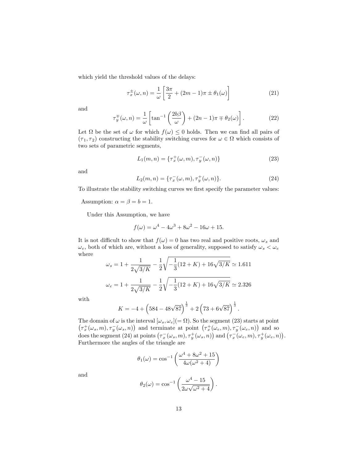which yield the threshold values of the delays:

$$
\tau_x^{\pm}(\omega, n) = \frac{1}{\omega} \left[ \frac{3\pi}{2} + (2m - 1)\pi \pm \theta_1(\omega) \right] \tag{21}
$$

and

$$
\tau_y^{\pm}(\omega, n) = \frac{1}{\omega} \left[ \tan^{-1} \left( \frac{2b\beta}{\omega} \right) + (2n - 1)\pi \mp \theta_2(\omega) \right]. \tag{22}
$$

Let  $\Omega$  be the set of  $\omega$  for which  $f(\omega) \leq 0$  holds. Then we can find all pairs of  $(\tau_1, \tau_2)$  constructing the stability switching curves for  $\omega \in \Omega$  which consists of two sets of parametric segments,

$$
L_1(m, n) = \{\tau_x^+(\omega, m), \tau_y^-(\omega, n)\}\tag{23}
$$

and

$$
L_2(m, n) = \{\tau_x^-(\omega, m), \tau_y^+(\omega, n)\}.
$$
 (24)

To illustrate the stability switching curves we first specify the parameter values:

Assumption:  $\alpha = \beta = b = 1$ .

Under this Assumption, we have

$$
f(\omega) = \omega^4 - 4\omega^3 + 8\omega^2 - 16\omega + 15.
$$

It is not difficult to show that  $f(\omega) = 0$  has two real and positive roots,  $\omega_s$  and  $\omega_e,$  both of which are, without a loss of generality, supposed to satisfy  $\omega_s<\omega_e$ where

$$
\omega_s = 1 + \frac{1}{2\sqrt{3/K}} - \frac{1}{2}\sqrt{-\frac{1}{3}(12+K) + 16\sqrt{3/K}} \approx 1.611
$$
  

$$
\omega_e = 1 + \frac{1}{2\sqrt{3/K}} - \frac{1}{2}\sqrt{-\frac{1}{3}(12+K) + 16\sqrt{3/K}} \approx 2.326
$$

with

$$
K = -4 + \left(584 - 48\sqrt{87}\right)^{\frac{1}{3}} + 2\left(73 + 6\sqrt{87}\right)^{\frac{1}{3}}.
$$

The domain of  $\omega$  is the interval  $[\omega_s, \omega_e] (= \Omega)$ . So the segment (23) starts at point  $(\tau_x^+(\omega_s, m), \tau_y^-(\omega_s, n))$  and terminate at point  $(\tau_x^+(\omega_e, m), \tau_y^-(\omega_e, n))$  and so does the segment (24) at points  $(\tau_x^-(\omega_s, m), \tau_y^+(\omega_s, n))$  and  $(\tau_x^-(\omega_e, m), \tau_y^+(\omega_e, n))$ . Furthermore the angles of the triangle are

$$
\theta_1(\omega) = \cos^{-1}\left(\frac{\omega^4 + 8\omega^2 + 15}{4\omega(\omega^2 + 4)}\right)
$$

and

$$
\theta_2(\omega) = \cos^{-1}\left(\frac{\omega^4 - 15}{2\omega\sqrt{\omega^2 + 4}}\right)
$$

: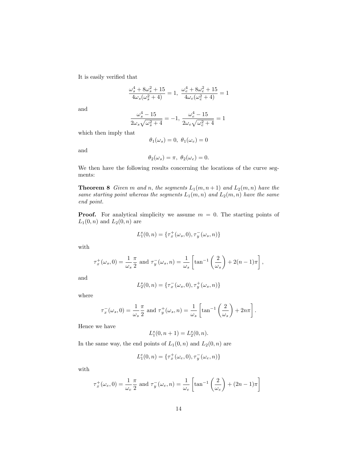It is easily verified that

$$
\frac{\omega_s^4 + 8 \omega_s^2 + 15}{4 \omega_s (\omega_s^2 + 4)} = 1, \frac{\omega_e^4 + 8 \omega_e^2 + 15}{4 \omega_e (\omega_e^2 + 4)} = 1
$$

and

$$
\frac{\omega_s^4 - 15}{2\omega_s\sqrt{\omega_s^2 + 4}} = -1, \frac{\omega_e^4 - 15}{2\omega_e\sqrt{\omega_e^2 + 4}} = 1
$$

which then imply that

$$
\theta_1(\omega_s) = 0, \ \theta_1(\omega_e) = 0
$$

and

$$
\theta_2(\omega_s) = \pi, \ \theta_2(\omega_e) = 0.
$$

We then have the following results concerning the locations of the curve segments:

**Theorem 8** Given m and n, the segments  $L_1(m, n+1)$  and  $L_2(m, n)$  have the same starting point whereas the segments  $L_1(m, n)$  and  $L_2(m, n)$  have the same end point.

**Proof.** For analytical simplicity we assume  $m = 0$ . The starting points of  $L_1(0, n)$  and  $L_2(0, n)$  are

$$
L_1^s(0, n) = \{ \tau_x^+(\omega_s, 0), \tau_y^-(\omega_s, n) \}
$$

with

$$
\tau_x^+(\omega_s, 0) = \frac{1}{\omega_s} \frac{\pi}{2} \text{ and } \tau_y^-(\omega_s, n) = \frac{1}{\omega_s} \left[ \tan^{-1} \left( \frac{2}{\omega_s} \right) + 2(n-1)\pi \right],
$$

and

$$
L_2^s(0, n) = \{ \tau_x^-(\omega_s, 0), \tau_y^+(\omega_s, n) \}
$$

where

$$
\tau_x^-(\omega_s, 0) = \frac{1}{\omega_s} \frac{\pi}{2} \text{ and } \tau_y^+(\omega_s, n) = \frac{1}{\omega_s} \left[ \tan^{-1} \left( \frac{2}{\omega_s} \right) + 2n\pi \right].
$$

Hence we have

$$
L_1^s(0, n+1) = L_2^s(0, n).
$$

In the same way, the end points of  $L_1(0, n)$  and  $L_2(0, n)$  are

$$
L_1^e(0, n) = \{ \tau_x^+(\omega_e, 0), \tau_y^-(\omega_e, n) \}
$$

with

$$
\tau_x^+(\omega_e, 0) = \frac{1}{\omega_e} \frac{\pi}{2} \text{ and } \tau_y^-(\omega_e, n) = \frac{1}{\omega_e} \left[ \tan^{-1} \left( \frac{2}{\omega_e} \right) + (2n - 1)\pi \right]
$$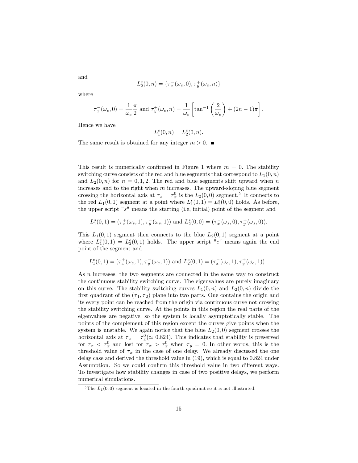$$
L_2^e(0, n) = \{ \tau_x^-(\omega_e, 0), \tau_y^+(\omega_e, n) \}
$$

where

and

$$
\tau_x^-(\omega_e, 0) = \frac{1}{\omega_e} \frac{\pi}{2} \text{ and } \tau_y^+(\omega_e, n) = \frac{1}{\omega_e} \left[ \tan^{-1} \left( \frac{2}{\omega_e} \right) + (2n - 1)\pi \right].
$$

Hence we have

$$
L_1^e(0, n) = L_2^e(0, n).
$$

The same result is obtained for any integer  $m > 0$ .

This result is numerically confirmed in Figure 1 where  $m = 0$ . The stability switching curve consists of the red and blue segments that correspond to  $L_1(0, n)$ and  $L_2(0, n)$  for  $n = 0, 1, 2$ . The red and blue segments shift upward when n increases and to the right when  $m$  increases. The upward-sloping blue segment crossing the horizontal axis at  $\tau_x = \tau_x^0$  is the  $L_2(0,0)$  segment.<sup>5</sup> It connects to the red  $L_1(0,1)$  segment at a point where  $L_1^s(0,1) = L_2^s(0,0)$  holds. As before, the upper script "s" means the starting (i.e, initial) point of the segment and

$$
L_1^s(0,1) = (\tau_x^+(\omega_s, 1), \tau_y^-(\omega_s, 1)) \text{ and } L_2^s(0,0) = (\tau_x^-(\omega_s, 0), \tau_y^+(\omega_s, 0)).
$$

This  $L_1(0,1)$  segment then connects to the blue  $L_2(0,1)$  segment at a point where  $L_1^e(0,1) = L_2^e(0,1)$  holds. The upper script "e" means again the end point of the segment and

$$
L_1^e(0,1)=(\tau_x^+(\omega_e,1),\tau_y^-(\omega_e,1))\text{ and }L_2^e(0,1)=(\tau_x^-(\omega_e,1),\tau_y^+(\omega_e,1)).
$$

As n increases, the two segments are connected in the same way to construct the continuous stability switching curve. The eigenvalues are purely imaginary on this curve. The stability switching curves  $L_1(0, n)$  and  $L_2(0, n)$  divide the first quadrant of the  $(\tau_1, \tau_2)$  plane into two parts. One contains the origin and its every point can be reached from the origin via continuous curve not crossing the stability switching curve. At the points in this region the real parts of the eigenvalues are negative, so the system is locally asymptotically stable. The points of the complement of this region except the curves give points when the system is unstable. We again notice that the blue  $L_2(0,0)$  segment crosses the horizontal axis at  $\tau_x = \tau_x^0 (\simeq 0.824)$ . This indicates that stability is preserved for  $\tau_x < \tau_x^0$  and lost for  $\tau_x > \tau_x^0$  when  $\tau_y = 0$ . In other words, this is the threshold value of  $\tau_x$  in the case of one delay. We already discussed the one delay case and derived the threshold value in (19), which is equal to 0:824 under Assumption. So we could confirm this threshold value in two different ways. To investigate how stability changes in case of two positive delays, we perform numerical simulations.

<sup>&</sup>lt;sup>5</sup>The  $L_1(0,0)$  segment is located in the fourth quadrant so it is not illustrated.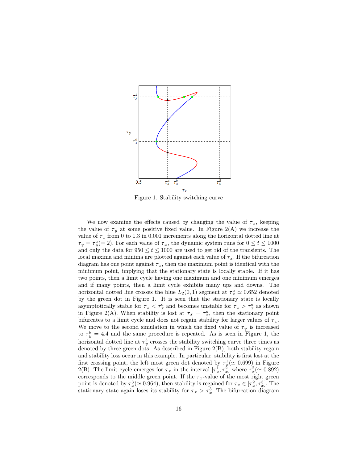

Figure 1. Stability switching curve

We now examine the effects caused by changing the value of  $\tau_x$ , keeping the value of  $\tau_y$  at some positive fixed value. In Figure 2(A) we increase the value of  $\tau_x$  from 0 to 1.3 in 0.001 increments along the horizontal dotted line at  $\tau_y = \tau_y^a = 2$ ). For each value of  $\tau_x$ , the dynamic system runs for  $0 \le t \le 1000$ and only the data for  $950 \le t \le 1000$  are used to get rid of the transients. The local maxima and minima are plotted against each value of  $\tau_x$ . If the bifurcation diagram has one point against  $\tau_x$ , then the maximum point is identical with the minimum point, implying that the stationary state is locally stable. If it has two points, then a limit cycle having one maximum and one minimum emerges and if many points, then a limit cycle exhibits many ups and downs. The horizontal dotted line crosses the blue  $L_2(0,1)$  segment at  $\tau_x^a \simeq 0.652$  denoted by the green dot in Figure 1. It is seen that the stationary state is locally asymptotically stable for  $\tau_x < \tau_x^a$  and becomes unstable for  $\tau_x > \tau_x^a$  as shown in Figure 2(A). When stability is lost at  $\tau_x = \tau_x^a$ , then the stationary point bifurcates to a limit cycle and does not regain stability for larger values of  $\tau_x$ . We move to the second simulation in which the fixed value of  $\tau_y$  is increased to  $\tau_y^b = 4.4$  and the same procedure is repeated. As is seen in Figure 1, the horizontal dotted line at  $\tau_y^b$  crosses the stability switching curve three times as denoted by three green dots. As described in Figure 2(B), both stability regain and stability loss occur in this example. In particular, stability is first lost at the first crossing point, the left most green dot denoted by  $\tau_x^1(\simeq 0.699)$  in Figure 2(B). The limit cycle emerges for  $\tau_x$  in the interval  $[\tau_x^1, \tau_x^2]$  where  $\tau_x^2 (\simeq 0.892)$ corresponds to the middle green point. If the  $\tau_x$ -value of the most right green point is denoted by  $\tau_x^3 \approx 0.964$ , then stability is regained for  $\tau_x \in [\tau_x^2, \tau_x^3]$ . The stationary state again loses its stability for  $\tau_x > \tau_x^3$ . The bifurcation diagram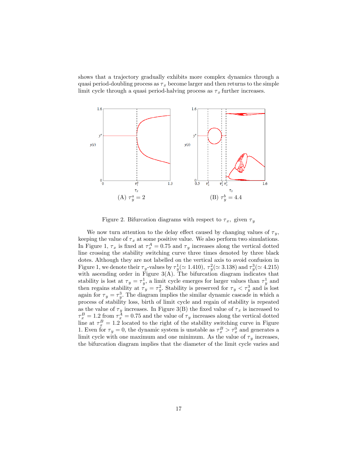shows that a trajectory gradually exhibits more complex dynamics through a quasi period-doubling process as  $\tau_x$  become larger and then returns to the simple limit cycle through a quasi period-halving process as  $\tau_x$  further increases.



Figure 2. Bifurcation diagrams with respect to  $\tau_x$ , given  $\tau_y$ 

We now turn attention to the delay effect caused by changing values of  $\tau_y$ , keeping the value of  $\tau_x$  at some positive value. We also perform two simulations. In Figure 1,  $\tau_x$  is fixed at  $\tau_x^A = 0.75$  and  $\tau_y$  increases along the vertical dotted line crossing the stability switching curve three times denoted by three black dotes. Although they are not labelled on the vertical axis to avoid confusion in Figure 1, we denote their  $\tau_y$ -values by  $\tau_y^1(\simeq 1.410)$ ,  $\tau_y^2(\simeq 3.138)$  and  $\tau_y^3(\simeq 4.215)$ with ascending order in Figure  $3(A)$ . The bifurcation diagram indicates that stability is lost at  $\tau_y = \tau_y^1$ , a limit cycle emerges for larger values than  $\tau_y^1$  and then regains stability at  $\tau_y = \tau_y^2$ . Stability is preserved for  $\tau_y < \tau_y^3$  and is lost again for  $\tau_y = \tau_y^3$ . The diagram implies the similar dynamic cascade in which a process of stability loss, birth of limit cycle and regain of stability is repeated as the value of  $\tau_y$  increases. In Figure 3(B) the fixed value of  $\tau_x$  is increased to  $\tau_x^B = 1.2$  from  $\tau_x^A = 0.75$  and the value of  $\tau_y$  increases along the vertical dotted line at  $\tau_x^B = 1.2$  located to the right of the stability switching curve in Figure 1. Even for  $\tau_y = 0$ , the dynamic system is unstable as  $\tau_x^B > \tau_x^0$  and generates a limit cycle with one maximum and one minimum. As the value of  $\tau_y$  increases, the bifurcation diagram implies that the diameter of the limit cycle varies and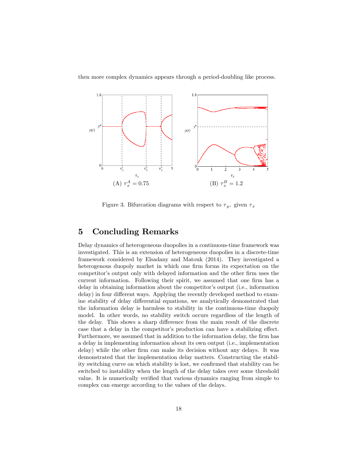then more complex dynamics appears through a period-doubling like process.



Figure 3. Bifurcation diagrams with respect to  $\tau_y$ , given  $\tau_x$ 

## 5 Concluding Remarks

Delay dynamics of heterogeneous duopolies in a continuous-time framework was investigated. This is an extension of heterogeneous duopolies in a discrete-time framework considered by Elsadany and Matouk (2014). They investigated a heterogenous duopoly market in which one firm forms its expectation on the competitor's output only with delayed information and the other firm uses the current information. Following their spirit, we assumed that one firm has a delay in obtaining information about the competitor's output (i.e., information delay) in four different ways. Applying the recently developed method to examine stability of delay differential equations, we analytically demonstrated that the information delay is harmless to stability in the continuous-time duopoly model. In other words, no stability switch occurs regardless of the length of the delay. This shows a sharp difference from the main result of the discrete case that a delay in the competitor's production can have a stabilizing effect. Furthermore, we assumed that in addition to the information delay, the firm has a delay in implementing information about its own output (i.e., implementation delay) while the other firm can make its decision without any delays. It was demonstrated that the implementation delay matters. Constructing the stability switching curve on which stability is lost, we confirmed that stability can be switched to instability when the length of the delay takes over some threshold value. It is numerically verified that various dynamics ranging from simple to complex can emerge according to the values of the delays.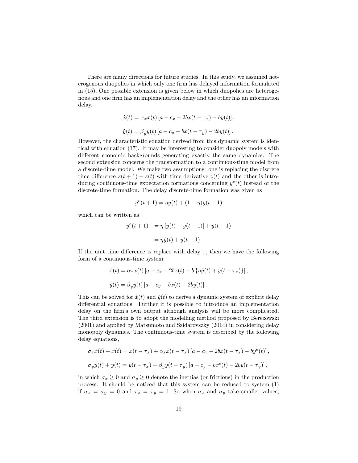There are many directions for future studies. In this study, we assumed heterogenous duopolies in which only one firm has delayed information formulated in (15). One possible extension is given below in which duopolies are heterogenous and one firm has an implementation delay and the other has an information delay.

$$
\dot{x}(t) = \alpha_x x(t) [a - c_x - 2bx(t - \tau_x) - by(t)],
$$
  

$$
\dot{y}(t) = \beta_y y(t) [a - c_y - bx(t - \tau_y) - 2by(t)].
$$

However, the characteristic equation derived from this dynamic system is identical with equation (17). It may be interesting to consider duopoly models with different economic backgrounds generating exactly the same dynamics. The second extension concerns the transformation to a continuous-time model from a discrete-time model. We make two assumptions: one is replacing the discrete time difference  $z(t + 1) - z(t)$  with time derivative  $\dot{z}(t)$  and the other is introducing continuous-time expectation formations concerning  $y^e(t)$  instead of the discrete-time formation. The delay discrete-time formation was given as

$$
y^{e}(t+1) = \eta y(t) + (1-\eta)y(t-1)
$$

which can be written as

$$
y^{e}(t+1) = \eta [y(t) - y(t-1)] + y(t-1)
$$
  
=  $\eta \dot{y}(t) + y(t-1)$ .

If the unit time difference is replace with delay  $\tau$ , then we have the following form of a continuous-time system:

$$
\dot{x}(t) = \alpha_x x(t) [a - c_x - 2bx(t) - b \{\eta \dot{y}(t) + y(t - \tau_x)\}],
$$
  

$$
\dot{y}(t) = \beta_y y(t) [a - c_y - bx(t) - 2by(t)].
$$

This can be solved for  $\dot{x}(t)$  and  $\dot{y}(t)$  to derive a dynamic system of explicit delay differential equations. Further it is possible to introduce an implementation delay on the firm's own output although analysis will be more complicated. The third extension is to adopt the modelling method proposed by Berezowski (2001) and applied by Matsumoto and Szidarovszky (2014) in considering delay monopoly dynamics. The continuous-time system is described by the following delay equations,

$$
\sigma_x \dot{x}(t) + x(t) = x(t - \tau_x) + \alpha_x x(t - \tau_x) [a - c_x - 2bx(t - \tau_x) - by^e(t)],
$$
  

$$
\sigma_y \dot{y}(t) + y(t) = y(t - \tau_x) + \beta_y y(t - \tau_y) [a - c_y - bx^e(t) - 2by(t - \tau_y)],
$$

in which  $\sigma_x \geq 0$  and  $\sigma_y \geq 0$  denote the inertias (or frictions) in the production process. It should be noticed that this system can be reduced to system (1) if  $\sigma_x = \sigma_y = 0$  and  $\tau_x = \tau_y = 1$ . So when  $\sigma_x$  and  $\sigma_y$  take smaller values,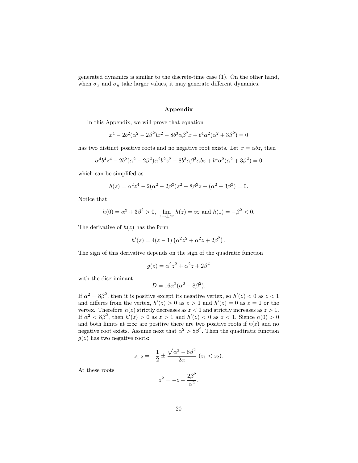generated dynamics is similar to the discrete-time case (1). On the other hand, when  $\sigma_x$  and  $\sigma_y$  take larger values, it may generate different dynamics.

#### Appendix

In this Appendix, we will prove that equation

$$
x^{4} - 2b^{2}(\alpha^{2} - 2\beta^{2})x^{2} - 8b^{3}\alpha\beta^{2}x + b^{4}\alpha^{2}(\alpha^{2} + 3\beta^{2}) = 0
$$

has two distinct positive roots and no negative root exists. Let  $x = \alpha bz$ , then

$$
\alpha^4 b^4 z^4 - 2b^2(\alpha^2 - 2\beta^2)\alpha^2 b^2 z^2 - 8b^3 \alpha \beta^2 \alpha b z + b^4 \alpha^2 (\alpha^2 + 3\beta^2) = 0
$$

which can be simplifed as

$$
h(z) = \alpha^{2} z^{4} - 2(\alpha^{2} - 2\beta^{2})z^{2} - 8\beta^{2} z + (\alpha^{2} + 3\beta^{2}) = 0.
$$

Notice that

$$
h(0) = \alpha^2 + 3\beta^2 > 0
$$
,  $\lim_{z \to \pm \infty} h(z) = \infty$  and  $h(1) = -\beta^2 < 0$ .

The derivative of  $h(z)$  has the form

$$
h'(z) = 4(z - 1) (\alpha^{2} z^{2} + \alpha^{2} z + 2\beta^{2}).
$$

The sign of this derivative depends on the sign of the quadratic function

$$
g(z) = \alpha^2 z^2 + \alpha^2 z + 2\beta^2
$$

with the discriminant

$$
D = 16\alpha^2(\alpha^2 - 8\beta^2).
$$

If  $\alpha^2 = 8\beta^2$ , then it is positive except its negative vertex, so  $h'(z) < 0$  as  $z < 1$ and differes from the vertex,  $h'(z) > 0$  as  $z > 1$  and  $h'(z) = 0$  as  $z = 1$  or the vertex. Therefore  $h(z)$  strictly decreases as  $z < 1$  and strictly increases as  $z > 1$ . If  $\alpha^2 < 8\beta^2$ , then  $h'(z) > 0$  as  $z > 1$  and  $h'(z) < 0$  as  $z < 1$ . Sience  $h(0) > 0$ and both limits at  $\pm \infty$  are positive there are two positive roots if  $h(z)$  and no negative root exists. Assume next that  $\alpha^2 > 8\beta^2$ . Then the quadtratic function  $g(z)$  has two negative roots:

$$
z_{1,2} = -\frac{1}{2} \pm \frac{\sqrt{\alpha^2 - 8\beta^2}}{2\alpha} \ (z_1 < z_2).
$$

At these roots

$$
z^2 = -z - \frac{2\beta^2}{\alpha^2},
$$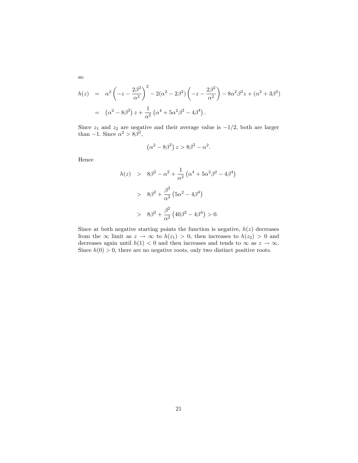$$
h(z) = \alpha^2 \left( -z - \frac{2\beta^2}{\alpha^2} \right)^2 - 2(\alpha^2 - 2\beta^2) \left( -z - \frac{2\beta^2}{\alpha^2} \right) - 8\alpha^2 \beta^2 z + (\alpha^2 + 3\beta^2)
$$
  
=  $(\alpha^2 - 8\beta^2) z + \frac{1}{\alpha^2} (\alpha^4 + 5\alpha^2 \beta^2 - 4\beta^4).$ 

Since  $z_1$  and  $z_2$  are negative and their average value is  $-1/2$ , both are larger than  $-1$ . Since  $\alpha^2 > 8\beta^2$ ,

$$
(\alpha^2 - 8\beta^2) z > 8\beta^2 - \alpha^2.
$$

Hence

$$
h(z) > 8\beta^2 - \alpha^2 + \frac{1}{\alpha^2} \left( \alpha^4 + 5\alpha^2 \beta^2 - 4\beta^4 \right)
$$
  
>  $8\beta^2 + \frac{\beta^2}{\alpha^2} \left( 5\alpha^2 - 4\beta^4 \right)$   
>  $8\beta^2 + \frac{\beta^2}{\alpha^2} \left( 40\beta^2 - 4\beta^4 \right) > 0.$ 

Since at both negative starting points the function is negative,  $h(z)$  decreases from the  $\infty$  limit as  $z \to \infty$  to  $h(z_1) > 0$ , then increases to  $h(z_2) > 0$  and decreases again until  $h(1) < 0$  and then increases and tends to  $\infty$  as  $z \to \infty$ . Since  $h(0) > 0$ , there are no negative roots, only two distinct positive roots.

so